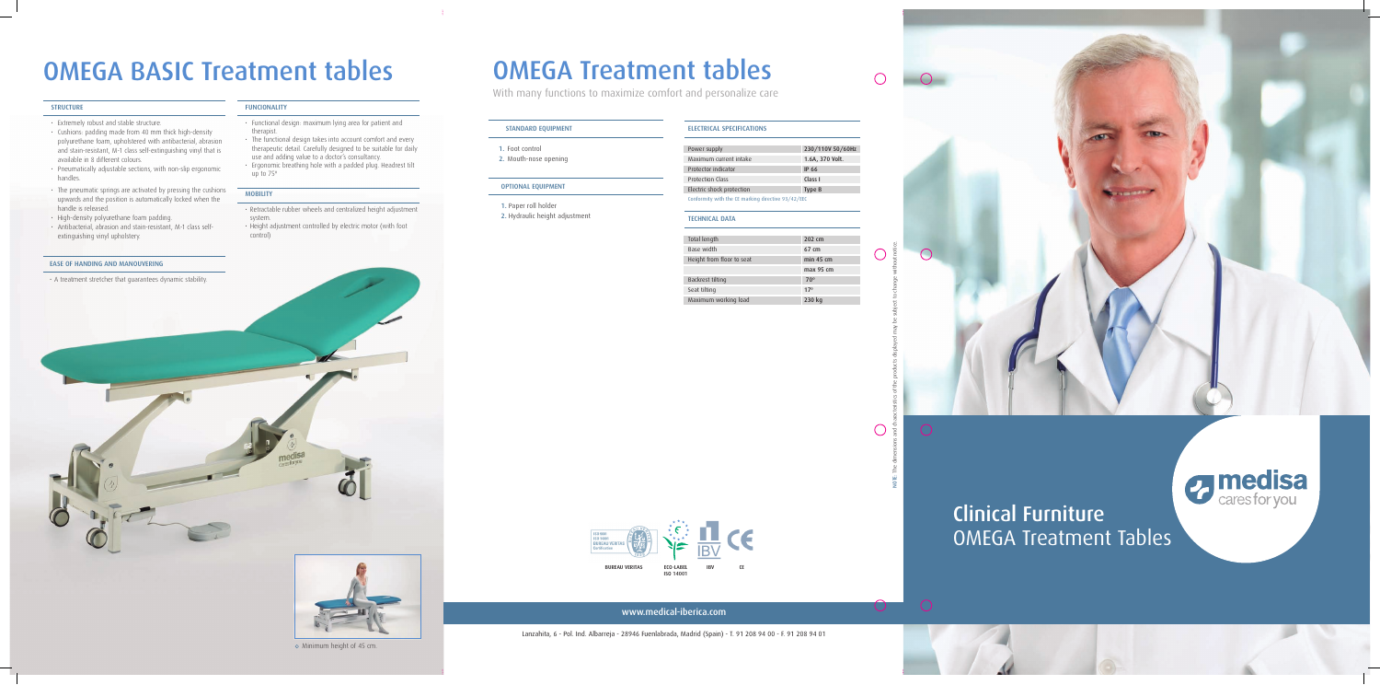### OMEGA Treatment Tables Clinical Furniture

www.medical-iberica.com

Lanzahita, 6 - Pol. Ind. Albarreja - 28946 Fuenlabrada, Madrid (Spain) - T. 91 208 94 00 - F. 91 208 94 01

### OMEGA Treatment tables With many functions to maximize comfort and personalize care





*a* medisa

Minimum height of 45 cm.

- Extremely robust and stable structure.
- Cushions: padding made from 40 mm thick high-density polyurethane foam, upholstered with antibacterial, abrasion and stain-resistant, M-1 class self-extinguishing vinyl that is available in 8 different colours.
- Pneumatically adjustable sections, with non-slip ergonomic handles.
- The pneumatic springs are activated by pressing the cushions upwards and the position is automatically locked when the handle is released.
- High-density polyurethane foam padding.
- Antibacterial, abrasion and stain-resistant, M-1 class selfextinguishing vinyl upholstery.

| <b>STANDARD EQUIPMENT</b>                              | <b>ELECTRICAL SPECIFICATIONS</b>                   |                    |
|--------------------------------------------------------|----------------------------------------------------|--------------------|
| 1. Foot control                                        | Power supply                                       | 230/110V 50/60Hz   |
| 2. Mouth-nose opening                                  | Maximum current intake                             | 1.6A, 370 Volt.    |
|                                                        | Protector indicator                                | <b>IP 66</b>       |
| <b>OPTIONAL EQUIPMENT</b>                              | Protection Class                                   | Class I            |
|                                                        | Electric shock protection                          | Type B             |
| 1. Paper roll holder<br>2. Hydraulic height adjustment | Conformity with the CE marking directive 93/42/EEC |                    |
|                                                        | <b>TECHNICAL DATA</b>                              |                    |
|                                                        |                                                    |                    |
|                                                        | Total length                                       | $202 \, \text{cm}$ |
|                                                        |                                                    |                    |

Base wi Height

Backres Seat tilti Maximu





#### FUNCIONALITY

- Functional design: maximum lying area for patient and therapist.
- The functional design takes into account comfort and every therapeutic detail. Carefully designed to be suitable for daily use and adding value to a doctor's consultancy.
- Ergonomic breathing hole with a padded plug. Headrest tilt up to 75º

#### **MOBILITY**

- Retractable rubber wheels and centralized height adjustment system.
- Height adjustment controlled by electric motor (with foot control)

#### EASE OF HANDING AND MANOUVERING

• A treatment stretcher that guarantees dynamic stability.

## OMEGA BASIC Treatment tables

#### **STRUCTURE**

| Total length              | $202 \text{ cm}$ |
|---------------------------|------------------|
| Base width                | 67 cm            |
| Height from floor to seat | $min$ 45 cm      |
|                           | max 95 cm        |
| Backrest tilting          | $70^{\circ}$     |
| Seat tilting              | 17 <sup>°</sup>  |
| Maximum working load      | 230 kg           |

 $\bigcirc$ 

 $\bigcap$